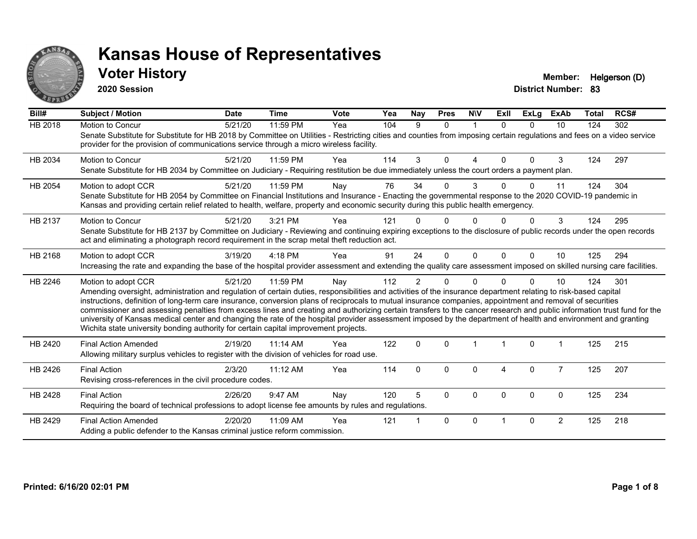

**2020 Session**

**Voter History Member:** Helgerson (D)

| Bill#          | <b>Subject / Motion</b>                                                                                                                                                                                                                                                                                                                                                                                                                                                                                                                                                                                                                                                                                                                                                                  | <b>Date</b> | <b>Time</b> | <b>Vote</b> | Yea | Nay            | <b>Pres</b> | <b>NIV</b>  | ExII     | <b>ExLg</b> | <b>ExAb</b>    | <b>Total</b> | RCS# |
|----------------|------------------------------------------------------------------------------------------------------------------------------------------------------------------------------------------------------------------------------------------------------------------------------------------------------------------------------------------------------------------------------------------------------------------------------------------------------------------------------------------------------------------------------------------------------------------------------------------------------------------------------------------------------------------------------------------------------------------------------------------------------------------------------------------|-------------|-------------|-------------|-----|----------------|-------------|-------------|----------|-------------|----------------|--------------|------|
| <b>HB 2018</b> | Motion to Concur<br>Senate Substitute for Substitute for HB 2018 by Committee on Utilities - Restricting cities and counties from imposing certain regulations and fees on a video service<br>provider for the provision of communications service through a micro wireless facility.                                                                                                                                                                                                                                                                                                                                                                                                                                                                                                    | 5/21/20     | 11:59 PM    | Yea         | 104 | 9              | $\Omega$    | $\mathbf 1$ | $\Omega$ | $\Omega$    | 10             | 124          | 302  |
| HB 2034        | <b>Motion to Concur</b><br>Senate Substitute for HB 2034 by Committee on Judiciary - Requiring restitution be due immediately unless the court orders a payment plan.                                                                                                                                                                                                                                                                                                                                                                                                                                                                                                                                                                                                                    | 5/21/20     | 11:59 PM    | Yea         | 114 | 3              | $\Omega$    | 4           | $\Omega$ | $\Omega$    | 3              | 124          | 297  |
| HB 2054        | Motion to adopt CCR<br>Senate Substitute for HB 2054 by Committee on Financial Institutions and Insurance - Enacting the governmental response to the 2020 COVID-19 pandemic in<br>Kansas and providing certain relief related to health, welfare, property and economic security during this public health emergency.                                                                                                                                                                                                                                                                                                                                                                                                                                                                   | 5/21/20     | 11:59 PM    | Nay         | 76  | 34             | 0           | 3           |          | 0           | 11             | 124          | 304  |
| HB 2137        | Motion to Concur<br>Senate Substitute for HB 2137 by Committee on Judiciary - Reviewing and continuing expiring exceptions to the disclosure of public records under the open records<br>act and eliminating a photograph record requirement in the scrap metal theft reduction act.                                                                                                                                                                                                                                                                                                                                                                                                                                                                                                     | 5/21/20     | 3:21 PM     | Yea         | 121 |                | 0           | O           |          | 0           | 3              | 124          | 295  |
| HB 2168        | Motion to adopt CCR<br>Increasing the rate and expanding the base of the hospital provider assessment and extending the quality care assessment imposed on skilled nursing care facilities.                                                                                                                                                                                                                                                                                                                                                                                                                                                                                                                                                                                              | 3/19/20     | 4:18 PM     | Yea         | 91  | 24             | $\Omega$    | $\Omega$    | $\Omega$ | $\Omega$    | 10             | 125          | 294  |
| HB 2246        | Motion to adopt CCR<br>Amending oversight, administration and regulation of certain duties, responsibilities and activities of the insurance department relating to risk-based capital<br>instructions, definition of long-term care insurance, conversion plans of reciprocals to mutual insurance companies, appointment and removal of securities<br>commissioner and assessing penalties from excess lines and creating and authorizing certain transfers to the cancer research and public information trust fund for the<br>university of Kansas medical center and changing the rate of the hospital provider assessment imposed by the department of health and environment and granting<br>Wichita state university bonding authority for certain capital improvement projects. | 5/21/20     | 11:59 PM    | Nay         | 112 | $\overline{2}$ | 0           | $\Omega$    |          | $\Omega$    | 10             | 124          | 301  |
| HB 2420        | <b>Final Action Amended</b><br>Allowing military surplus vehicles to register with the division of vehicles for road use.                                                                                                                                                                                                                                                                                                                                                                                                                                                                                                                                                                                                                                                                | 2/19/20     | $11:14$ AM  | Yea         | 122 | $\mathbf 0$    | $\Omega$    |             |          | $\mathbf 0$ |                | 125          | 215  |
| HB 2426        | <b>Final Action</b><br>Revising cross-references in the civil procedure codes.                                                                                                                                                                                                                                                                                                                                                                                                                                                                                                                                                                                                                                                                                                           | 2/3/20      | 11:12 AM    | Yea         | 114 | $\Omega$       | $\Omega$    | 0           | 4        | $\mathbf 0$ | $\overline{7}$ | 125          | 207  |
| HB 2428        | <b>Final Action</b><br>Requiring the board of technical professions to adopt license fee amounts by rules and regulations.                                                                                                                                                                                                                                                                                                                                                                                                                                                                                                                                                                                                                                                               | 2/26/20     | 9:47 AM     | Nay         | 120 | 5              | $\Omega$    | 0           | $\Omega$ | $\mathbf 0$ | $\mathbf 0$    | 125          | 234  |
| HB 2429        | <b>Final Action Amended</b><br>Adding a public defender to the Kansas criminal justice reform commission.                                                                                                                                                                                                                                                                                                                                                                                                                                                                                                                                                                                                                                                                                | 2/20/20     | 11:09 AM    | Yea         | 121 |                | $\Omega$    | $\Omega$    |          | $\Omega$    | $\overline{2}$ | 125          | 218  |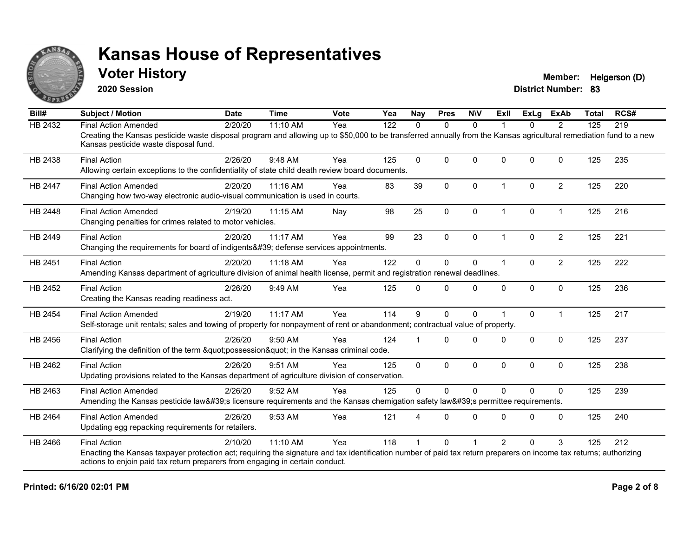

**2020 Session**

**Voter History Member:** Helgerson (D)

| Bill#          | <b>Subject / Motion</b>                                                                                                                                                                                     | <b>Date</b> | <b>Time</b> | <b>Vote</b> | Yea | <b>Nay</b>   | <b>Pres</b>  | <b>NIV</b>   | <b>Exll</b>    | ExLg     | <b>ExAb</b>    | <b>Total</b> | RCS# |
|----------------|-------------------------------------------------------------------------------------------------------------------------------------------------------------------------------------------------------------|-------------|-------------|-------------|-----|--------------|--------------|--------------|----------------|----------|----------------|--------------|------|
| HB 2432        | <b>Final Action Amended</b>                                                                                                                                                                                 | 2/20/20     | 11:10 AM    | Yea         | 122 | 0            | $\mathbf{0}$ | $\Omega$     |                | 0        | $\overline{2}$ | 125          | 219  |
|                | Creating the Kansas pesticide waste disposal program and allowing up to \$50,000 to be transferred annually from the Kansas agricultural remediation fund to a new<br>Kansas pesticide waste disposal fund. |             |             |             |     |              |              |              |                |          |                |              |      |
| HB 2438        | <b>Final Action</b>                                                                                                                                                                                         | 2/26/20     | 9:48 AM     | Yea         | 125 | $\Omega$     | $\Omega$     | $\Omega$     | $\Omega$       | $\Omega$ | $\Omega$       | 125          | 235  |
|                | Allowing certain exceptions to the confidentiality of state child death review board documents.                                                                                                             |             |             |             |     |              |              |              |                |          |                |              |      |
| <b>HB 2447</b> | <b>Final Action Amended</b>                                                                                                                                                                                 | 2/20/20     | 11:16 AM    | Yea         | 83  | 39           | $\Omega$     | $\Omega$     | $\overline{1}$ | $\Omega$ | $\overline{2}$ | 125          | 220  |
|                | Changing how two-way electronic audio-visual communication is used in courts.                                                                                                                               |             |             |             |     |              |              |              |                |          |                |              |      |
| HB 2448        | <b>Final Action Amended</b>                                                                                                                                                                                 | 2/19/20     | 11:15 AM    | Nay         | 98  | 25           | $\pmb{0}$    | 0            | $\mathbf 1$    | 0        | $\mathbf{1}$   | 125          | 216  |
|                | Changing penalties for crimes related to motor vehicles.                                                                                                                                                    |             |             |             |     |              |              |              |                |          |                |              |      |
| HB 2449        | <b>Final Action</b>                                                                                                                                                                                         | 2/20/20     | 11:17 AM    | Yea         | 99  | 23           | $\mathbf{0}$ | $\Omega$     | -1             | $\Omega$ | $\overline{2}$ | 125          | 221  |
|                | Changing the requirements for board of indigents' defense services appointments.                                                                                                                            |             |             |             |     |              |              |              |                |          |                |              |      |
| HB 2451        | <b>Final Action</b>                                                                                                                                                                                         | 2/20/20     | 11:18 AM    | Yea         | 122 | $\Omega$     | $\mathbf 0$  | 0            | $\overline{1}$ | $\Omega$ | $\overline{2}$ | 125          | 222  |
|                | Amending Kansas department of agriculture division of animal health license, permit and registration renewal deadlines.                                                                                     |             |             |             |     |              |              |              |                |          |                |              |      |
| HB 2452        | <b>Final Action</b>                                                                                                                                                                                         | 2/26/20     | 9:49 AM     | Yea         | 125 | $\Omega$     | $\Omega$     | $\Omega$     | $\Omega$       | 0        | $\mathbf 0$    | 125          | 236  |
|                | Creating the Kansas reading readiness act.                                                                                                                                                                  |             |             |             |     |              |              |              |                |          |                |              |      |
| HB 2454        | <b>Final Action Amended</b>                                                                                                                                                                                 | 2/19/20     | 11:17 AM    | Yea         | 114 | 9            | $\mathbf 0$  | 0            |                | $\Omega$ | $\mathbf 1$    | 125          | 217  |
|                | Self-storage unit rentals; sales and towing of property for nonpayment of rent or abandonment; contractual value of property.                                                                               |             |             |             |     |              |              |              |                |          |                |              |      |
| HB 2456        | <b>Final Action</b>                                                                                                                                                                                         | 2/26/20     | 9:50 AM     | Yea         | 124 |              | $\Omega$     | $\Omega$     | $\Omega$       | $\Omega$ | $\Omega$       | 125          | 237  |
|                | Clarifying the definition of the term "possession" in the Kansas criminal code.                                                                                                                             |             |             |             |     |              |              |              |                |          |                |              |      |
| HB 2462        | <b>Final Action</b>                                                                                                                                                                                         | 2/26/20     | 9:51 AM     | Yea         | 125 | $\mathbf{0}$ | $\mathbf 0$  | 0            | $\Omega$       | 0        | $\mathbf 0$    | 125          | 238  |
|                | Updating provisions related to the Kansas department of agriculture division of conservation.                                                                                                               |             |             |             |     |              |              |              |                |          |                |              |      |
| HB 2463        | <b>Final Action Amended</b>                                                                                                                                                                                 | 2/26/20     | 9:52 AM     | Yea         | 125 | $\Omega$     | $\mathbf 0$  | $\mathbf{0}$ | $\Omega$       | $\Omega$ | $\Omega$       | 125          | 239  |
|                | Amending the Kansas pesticide law's licensure requirements and the Kansas chemigation safety law's permittee requirements.                                                                                  |             |             |             |     |              |              |              |                |          |                |              |      |
| HB 2464        | <b>Final Action Amended</b>                                                                                                                                                                                 | 2/26/20     | 9:53 AM     | Yea         | 121 |              | $\Omega$     | $\Omega$     | $\Omega$       | $\Omega$ | $\Omega$       | 125          | 240  |
|                | Updating egg repacking requirements for retailers.                                                                                                                                                          |             |             |             |     |              |              |              |                |          |                |              |      |
| HB 2466        | <b>Final Action</b>                                                                                                                                                                                         | 2/10/20     | 11:10 AM    | Yea         | 118 |              | $\Omega$     |              | $\overline{2}$ | $\Omega$ | 3              | 125          | 212  |
|                | Enacting the Kansas taxpayer protection act; requiring the signature and tax identification number of paid tax return preparers on income tax returns; authorizing                                          |             |             |             |     |              |              |              |                |          |                |              |      |
|                | actions to enjoin paid tax return preparers from engaging in certain conduct.                                                                                                                               |             |             |             |     |              |              |              |                |          |                |              |      |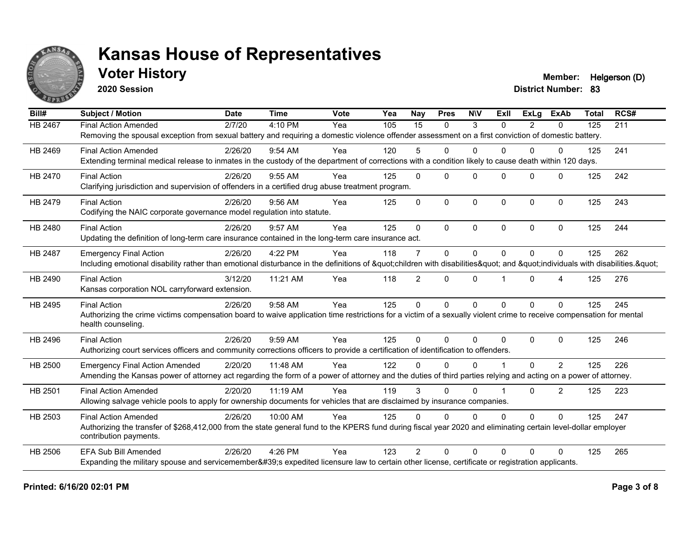

**2020 Session**

**Voter History Member:** Helgerson (D)

| Bill#          | <b>Subject / Motion</b>                                                                                                                                             | <b>Date</b> | <b>Time</b> | Vote | Yea | <b>Nav</b>      | <b>Pres</b> | <b>NIV</b>   | ExII         | <b>ExLa</b> | <b>ExAb</b>    | <b>Total</b> | RCS# |
|----------------|---------------------------------------------------------------------------------------------------------------------------------------------------------------------|-------------|-------------|------|-----|-----------------|-------------|--------------|--------------|-------------|----------------|--------------|------|
| <b>HB 2467</b> | <b>Final Action Amended</b>                                                                                                                                         | 2/7/20      | 4:10 PM     | Yea  | 105 | $\overline{15}$ | $\Omega$    | 3            | $\Omega$     | 2           | $\mathbf{0}$   | 125          | 211  |
|                | Removing the spousal exception from sexual battery and requiring a domestic violence offender assessment on a first conviction of domestic battery.                 |             |             |      |     |                 |             |              |              |             |                |              |      |
| HB 2469        | <b>Final Action Amended</b>                                                                                                                                         | 2/26/20     | $9:54$ AM   | Yea  | 120 | 5               | $\Omega$    | $\Omega$     | $\Omega$     | 0           | 0              | 125          | 241  |
|                | Extending terminal medical release to inmates in the custody of the department of corrections with a condition likely to cause death within 120 days.               |             |             |      |     |                 |             |              |              |             |                |              |      |
| HB 2470        | <b>Final Action</b>                                                                                                                                                 | 2/26/20     | 9:55 AM     | Yea  | 125 | $\mathbf{0}$    | $\Omega$    | $\mathbf{0}$ | $\Omega$     | $\Omega$    | $\mathbf{0}$   | 125          | 242  |
|                | Clarifying jurisdiction and supervision of offenders in a certified drug abuse treatment program.                                                                   |             |             |      |     |                 |             |              |              |             |                |              |      |
| HB 2479        | <b>Final Action</b>                                                                                                                                                 | 2/26/20     | 9:56 AM     | Yea  | 125 | $\Omega$        | $\Omega$    | $\mathbf 0$  | $\mathbf{0}$ | $\Omega$    | $\mathbf{0}$   | 125          | 243  |
|                | Codifying the NAIC corporate governance model regulation into statute.                                                                                              |             |             |      |     |                 |             |              |              |             |                |              |      |
| HB 2480        | <b>Final Action</b>                                                                                                                                                 | 2/26/20     | 9:57 AM     | Yea  | 125 | $\Omega$        | $\Omega$    | $\mathbf{0}$ | $\Omega$     | $\Omega$    | $\mathbf{0}$   | 125          | 244  |
|                | Updating the definition of long-term care insurance contained in the long-term care insurance act.                                                                  |             |             |      |     |                 |             |              |              |             |                |              |      |
| HB 2487        | <b>Emergency Final Action</b>                                                                                                                                       | 2/26/20     | 4:22 PM     | Yea  | 118 | $\overline{7}$  | $\Omega$    | $\mathbf{0}$ | $\Omega$     | 0           | $\Omega$       | 125          | 262  |
|                | Including emotional disability rather than emotional disturbance in the definitions of "children with disabilities" and "individuals with disabilities. "           |             |             |      |     |                 |             |              |              |             |                |              |      |
| HB 2490        | <b>Final Action</b>                                                                                                                                                 | 3/12/20     | 11:21 AM    | Yea  | 118 | $\overline{2}$  | $\Omega$    | $\mathbf{0}$ |              | $\Omega$    | 4              | 125          | 276  |
|                | Kansas corporation NOL carryforward extension.                                                                                                                      |             |             |      |     |                 |             |              |              |             |                |              |      |
| HB 2495        | <b>Final Action</b>                                                                                                                                                 | 2/26/20     | 9:58 AM     | Yea  | 125 | $\Omega$        | $\Omega$    | $\Omega$     | $\Omega$     | $\Omega$    | $\Omega$       | 125          | 245  |
|                | Authorizing the crime victims compensation board to waive application time restrictions for a victim of a sexually violent crime to receive compensation for mental |             |             |      |     |                 |             |              |              |             |                |              |      |
|                | health counseling.                                                                                                                                                  |             |             |      |     |                 |             |              |              |             |                |              |      |
| HB 2496        | <b>Final Action</b>                                                                                                                                                 | 2/26/20     | 9:59 AM     | Yea  | 125 | $\Omega$        | $\Omega$    | $\mathbf{0}$ | $\Omega$     | $\Omega$    | $\Omega$       | 125          | 246  |
|                | Authorizing court services officers and community corrections officers to provide a certification of identification to offenders.                                   |             |             |      |     |                 |             |              |              |             |                |              |      |
| HB 2500        | <b>Emergency Final Action Amended</b>                                                                                                                               | 2/20/20     | 11:48 AM    | Yea  | 122 | U               | $\Omega$    | $\Omega$     |              | $\Omega$    | $\overline{2}$ | 125          | 226  |
|                | Amending the Kansas power of attorney act regarding the form of a power of attorney and the duties of third parties relying and acting on a power of attorney.      |             |             |      |     |                 |             |              |              |             |                |              |      |
| HB 2501        | <b>Final Action Amended</b>                                                                                                                                         | 2/20/20     | 11:19 AM    | Yea  | 119 | 3               | $\Omega$    | $\mathbf{0}$ |              | $\Omega$    | $\overline{2}$ | 125          | 223  |
|                | Allowing salvage vehicle pools to apply for ownership documents for vehicles that are disclaimed by insurance companies.                                            |             |             |      |     |                 |             |              |              |             |                |              |      |
| HB 2503        | <b>Final Action Amended</b>                                                                                                                                         | 2/26/20     | 10:00 AM    | Yea  | 125 | $\Omega$        | $\Omega$    | $\Omega$     | $\Omega$     | $\Omega$    | $\Omega$       | 125          | 247  |
|                | Authorizing the transfer of \$268,412,000 from the state general fund to the KPERS fund during fiscal year 2020 and eliminating certain level-dollar employer       |             |             |      |     |                 |             |              |              |             |                |              |      |
|                | contribution payments.                                                                                                                                              |             |             |      |     |                 |             |              |              |             |                |              |      |
| HB 2506        | <b>EFA Sub Bill Amended</b>                                                                                                                                         | 2/26/20     | 4:26 PM     | Yea  | 123 | $\mathcal{P}$   | $\Omega$    | $\Omega$     | $\Omega$     | 0           | $\Omega$       | 125          | 265  |
|                | Expanding the military spouse and servicemember's expedited licensure law to certain other license, certificate or registration applicants.                         |             |             |      |     |                 |             |              |              |             |                |              |      |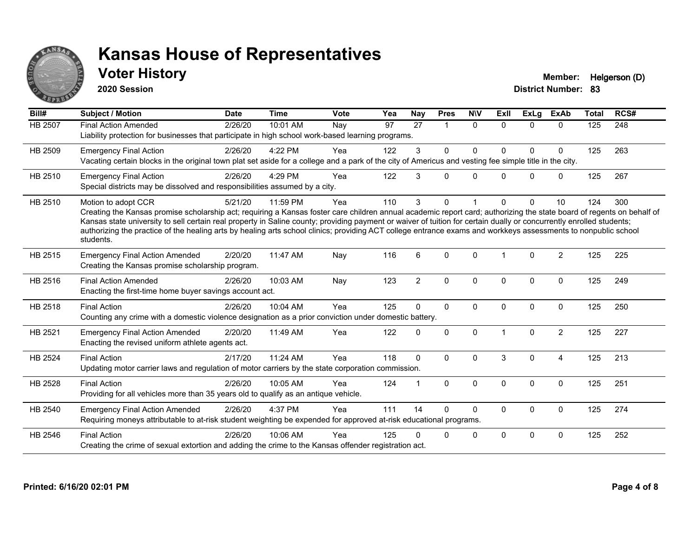

**2020 Session**

**Voter History Member:** Helgerson (D)

| Bill#          | Subject / Motion                                                                                                                                                                                                                                                                                                                                                                                                                                                                                                                                    | <b>Date</b> | <b>Time</b> | <b>Vote</b> | Yea | Nay            | <b>Pres</b>  | <b>NIV</b>   | ExII         | <b>ExLa</b> | <b>ExAb</b>    | <b>Total</b> | RCS# |
|----------------|-----------------------------------------------------------------------------------------------------------------------------------------------------------------------------------------------------------------------------------------------------------------------------------------------------------------------------------------------------------------------------------------------------------------------------------------------------------------------------------------------------------------------------------------------------|-------------|-------------|-------------|-----|----------------|--------------|--------------|--------------|-------------|----------------|--------------|------|
| HB 2507        | <b>Final Action Amended</b><br>Liability protection for businesses that participate in high school work-based learning programs.                                                                                                                                                                                                                                                                                                                                                                                                                    | 2/26/20     | 10:01 AM    | Nay         | 97  | 27             | $\mathbf{1}$ | $\Omega$     | $\Omega$     | $\Omega$    | 0              | 125          | 248  |
| HB 2509        | <b>Emergency Final Action</b><br>Vacating certain blocks in the original town plat set aside for a college and a park of the city of Americus and vesting fee simple title in the city.                                                                                                                                                                                                                                                                                                                                                             | 2/26/20     | 4:22 PM     | Yea         | 122 | 3              | 0            | $\Omega$     | 0            | 0           | 0              | 125          | 263  |
| HB 2510        | <b>Emergency Final Action</b><br>Special districts may be dissolved and responsibilities assumed by a city.                                                                                                                                                                                                                                                                                                                                                                                                                                         | 2/26/20     | 4:29 PM     | Yea         | 122 | 3              | $\Omega$     | $\Omega$     | 0            | $\Omega$    | 0              | 125          | 267  |
| HB 2510        | Motion to adopt CCR<br>Creating the Kansas promise scholarship act; requiring a Kansas foster care children annual academic report card; authorizing the state board of regents on behalf of<br>Kansas state university to sell certain real property in Saline county; providing payment or waiver of tuition for certain dually or concurrently enrolled students;<br>authorizing the practice of the healing arts by healing arts school clinics; providing ACT college entrance exams and workkeys assessments to nonpublic school<br>students. | 5/21/20     | 11:59 PM    | Yea         | 110 | 3              | 0            |              | 0            | 0           | 10             | 124          | 300  |
| HB 2515        | <b>Emergency Final Action Amended</b><br>Creating the Kansas promise scholarship program.                                                                                                                                                                                                                                                                                                                                                                                                                                                           | 2/20/20     | 11:47 AM    | Nay         | 116 | 6              | $\Omega$     | $\mathbf{0}$ |              | $\Omega$    | $\overline{2}$ | 125          | 225  |
| HB 2516        | <b>Final Action Amended</b><br>Enacting the first-time home buyer savings account act.                                                                                                                                                                                                                                                                                                                                                                                                                                                              | 2/26/20     | 10:03 AM    | Nay         | 123 | $\overline{2}$ | $\Omega$     | $\Omega$     | $\mathbf{0}$ | $\Omega$    | $\mathbf 0$    | 125          | 249  |
| HB 2518        | <b>Final Action</b><br>Counting any crime with a domestic violence designation as a prior conviction under domestic battery.                                                                                                                                                                                                                                                                                                                                                                                                                        | 2/26/20     | 10:04 AM    | Yea         | 125 | $\Omega$       | $\Omega$     | $\Omega$     | $\mathbf{0}$ | 0           | $\mathbf 0$    | 125          | 250  |
| HB 2521        | <b>Emergency Final Action Amended</b><br>Enacting the revised uniform athlete agents act.                                                                                                                                                                                                                                                                                                                                                                                                                                                           | 2/20/20     | 11:49 AM    | Yea         | 122 | 0              | 0            | $\Omega$     |              | $\Omega$    | $\overline{2}$ | 125          | 227  |
| <b>HB 2524</b> | <b>Final Action</b><br>Updating motor carrier laws and regulation of motor carriers by the state corporation commission.                                                                                                                                                                                                                                                                                                                                                                                                                            | 2/17/20     | 11:24 AM    | Yea         | 118 | $\Omega$       | $\Omega$     | $\Omega$     | 3            | $\Omega$    | $\overline{4}$ | 125          | 213  |
| <b>HB 2528</b> | <b>Final Action</b><br>Providing for all vehicles more than 35 years old to qualify as an antique vehicle.                                                                                                                                                                                                                                                                                                                                                                                                                                          | 2/26/20     | 10:05 AM    | Yea         | 124 | $\mathbf 1$    | $\Omega$     | $\Omega$     | $\Omega$     | $\Omega$    | 0              | 125          | 251  |
| HB 2540        | <b>Emergency Final Action Amended</b><br>Requiring moneys attributable to at-risk student weighting be expended for approved at-risk educational programs.                                                                                                                                                                                                                                                                                                                                                                                          | 2/26/20     | 4:37 PM     | Yea         | 111 | 14             | $\Omega$     | $\Omega$     | $\mathbf 0$  | 0           | $\mathbf 0$    | 125          | 274  |
| HB 2546        | <b>Final Action</b><br>Creating the crime of sexual extortion and adding the crime to the Kansas offender registration act.                                                                                                                                                                                                                                                                                                                                                                                                                         | 2/26/20     | 10:06 AM    | Yea         | 125 | 0              | $\Omega$     | 0            | $\Omega$     | 0           | 0              | 125          | 252  |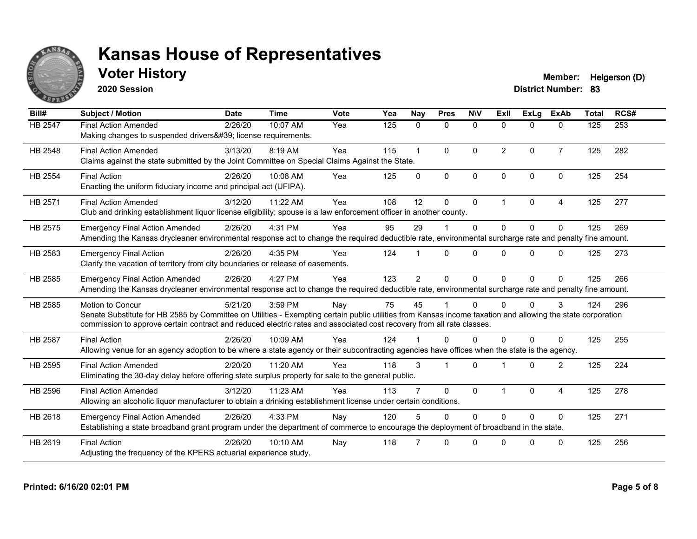

**2020 Session**

**Voter History Member:** Helgerson (D)

| Bill#   | <b>Subject / Motion</b>                                                                                                                                                                                                                                                                                         | <b>Date</b> | <b>Time</b> | Vote | Yea | Nay          | <b>Pres</b>          | <b>NIV</b> | ExII           | <b>ExLa</b>  | <b>ExAb</b>    | <b>Total</b> | RCS# |
|---------|-----------------------------------------------------------------------------------------------------------------------------------------------------------------------------------------------------------------------------------------------------------------------------------------------------------------|-------------|-------------|------|-----|--------------|----------------------|------------|----------------|--------------|----------------|--------------|------|
| HB 2547 | <b>Final Action Amended</b><br>Making changes to suspended drivers' license requirements.                                                                                                                                                                                                                       | 2/26/20     | 10:07 AM    | Yea  | 125 | $\mathbf{0}$ | $\mathbf 0$          | $\Omega$   | $\Omega$       | 0            | $\mathbf{0}$   | 125          | 253  |
| HB 2548 | <b>Final Action Amended</b><br>Claims against the state submitted by the Joint Committee on Special Claims Against the State.                                                                                                                                                                                   | 3/13/20     | 8:19 AM     | Yea  | 115 | $\mathbf{1}$ | $\mathbf{0}$         | $\Omega$   | $\overline{2}$ | $\mathbf{0}$ | $\overline{7}$ | 125          | 282  |
| HB 2554 | <b>Final Action</b><br>Enacting the uniform fiduciary income and principal act (UFIPA).                                                                                                                                                                                                                         | 2/26/20     | 10:08 AM    | Yea  | 125 | $\Omega$     | $\mathbf{0}$         | $\Omega$   | $\Omega$       | $\Omega$     | $\Omega$       | 125          | 254  |
| HB 2571 | <b>Final Action Amended</b><br>Club and drinking establishment liquor license eligibility; spouse is a law enforcement officer in another county.                                                                                                                                                               | 3/12/20     | 11:22 AM    | Yea  | 108 | 12           | $\mathbf{0}$         | $\Omega$   | 1              | $\mathbf{0}$ | 4              | 125          | 277  |
| HB 2575 | <b>Emergency Final Action Amended</b><br>Amending the Kansas drycleaner environmental response act to change the required deductible rate, environmental surcharge rate and penalty fine amount.                                                                                                                | 2/26/20     | 4:31 PM     | Yea  | 95  | 29           |                      | $\Omega$   | $\Omega$       | $\Omega$     | $\mathbf{0}$   | 125          | 269  |
| HB 2583 | <b>Emergency Final Action</b><br>Clarify the vacation of territory from city boundaries or release of easements.                                                                                                                                                                                                | 2/26/20     | 4:35 PM     | Yea  | 124 |              | $\Omega$             | $\Omega$   | $\Omega$       | $\Omega$     | $\Omega$       | 125          | 273  |
| HB 2585 | <b>Emergency Final Action Amended</b><br>Amending the Kansas drycleaner environmental response act to change the required deductible rate, environmental surcharge rate and penalty fine amount.                                                                                                                | 2/26/20     | 4:27 PM     | Yea  | 123 | 2            | $\Omega$             | $\Omega$   | $\Omega$       | $\Omega$     | $\Omega$       | 125          | 266  |
| HB 2585 | <b>Motion to Concur</b><br>Senate Substitute for HB 2585 by Committee on Utilities - Exempting certain public utilities from Kansas income taxation and allowing the state corporation<br>commission to approve certain contract and reduced electric rates and associated cost recovery from all rate classes. | 5/21/20     | 3:59 PM     | Nay  | 75  | 45           |                      | $\Omega$   | $\Omega$       | $\Omega$     | 3              | 124          | 296  |
| HB 2587 | <b>Final Action</b><br>Allowing venue for an agency adoption to be where a state agency or their subcontracting agencies have offices when the state is the agency.                                                                                                                                             | 2/26/20     | 10:09 AM    | Yea  | 124 |              | $\Omega$             | $\Omega$   | U              | $\Omega$     | $\Omega$       | 125          | 255  |
| HB 2595 | <b>Final Action Amended</b><br>Eliminating the 30-day delay before offering state surplus property for sale to the general public.                                                                                                                                                                              | 2/20/20     | 11:20 AM    | Yea  | 118 | 3            | $\blacktriangleleft$ | $\Omega$   |                | $\Omega$     | 2              | 125          | 224  |
| HB 2596 | <b>Final Action Amended</b><br>Allowing an alcoholic liquor manufacturer to obtain a drinking establishment license under certain conditions.                                                                                                                                                                   | 3/12/20     | 11:23 AM    | Yea  | 113 |              | $\Omega$             | $\Omega$   |                | $\Omega$     | 4              | 125          | 278  |
| HB 2618 | <b>Emergency Final Action Amended</b><br>Establishing a state broadband grant program under the department of commerce to encourage the deployment of broadband in the state.                                                                                                                                   | 2/26/20     | 4:33 PM     | Nay  | 120 | 5            | $\mathbf{0}$         | $\Omega$   | $\Omega$       | $\Omega$     | $\Omega$       | 125          | 271  |
| HB 2619 | <b>Final Action</b><br>Adjusting the frequency of the KPERS actuarial experience study.                                                                                                                                                                                                                         | 2/26/20     | 10:10 AM    | Nay  | 118 |              | $\Omega$             | $\Omega$   | $\Omega$       | $\Omega$     | $\Omega$       | 125          | 256  |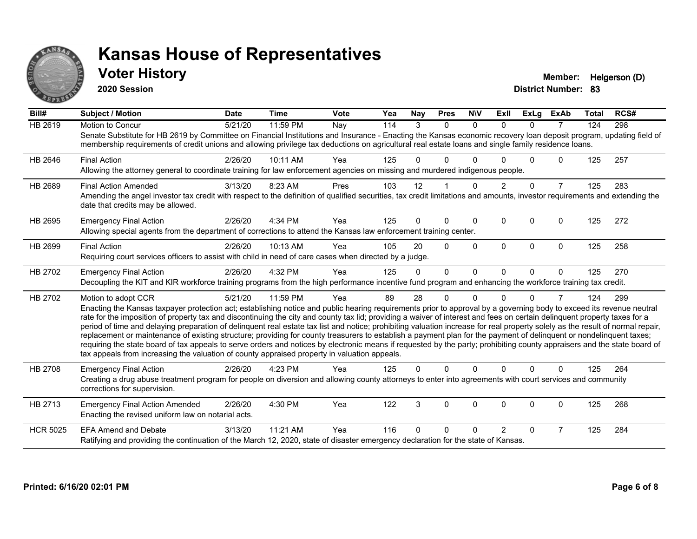

**2020 Session**

**Voter History Member:** Helgerson (D)

| Bill#           | <b>Subject / Motion</b>                                                                                                                                                                                                                                                                                                                                                                                                                                                                                                                                                                                                                                                                                                                                                                                                                                                                                                                                                                                       | <b>Date</b> | <b>Time</b> | Vote | Yea | <b>Nay</b> | <b>Pres</b> | <b>NIV</b> | ExII          | <b>ExLg</b>  | <b>ExAb</b>    | <b>Total</b> | RCS# |
|-----------------|---------------------------------------------------------------------------------------------------------------------------------------------------------------------------------------------------------------------------------------------------------------------------------------------------------------------------------------------------------------------------------------------------------------------------------------------------------------------------------------------------------------------------------------------------------------------------------------------------------------------------------------------------------------------------------------------------------------------------------------------------------------------------------------------------------------------------------------------------------------------------------------------------------------------------------------------------------------------------------------------------------------|-------------|-------------|------|-----|------------|-------------|------------|---------------|--------------|----------------|--------------|------|
| <b>HB 2619</b>  | Motion to Concur<br>Senate Substitute for HB 2619 by Committee on Financial Institutions and Insurance - Enacting the Kansas economic recovery loan deposit program, updating field of<br>membership requirements of credit unions and allowing privilege tax deductions on agricultural real estate loans and single family residence loans.                                                                                                                                                                                                                                                                                                                                                                                                                                                                                                                                                                                                                                                                 | 5/21/20     | 11:59 PM    | Nay  | 114 | 3          | $\Omega$    | $\Omega$   | $\Omega$      | $\Omega$     | $\overline{7}$ | 124          | 298  |
| HB 2646         | <b>Final Action</b><br>Allowing the attorney general to coordinate training for law enforcement agencies on missing and murdered indigenous people.                                                                                                                                                                                                                                                                                                                                                                                                                                                                                                                                                                                                                                                                                                                                                                                                                                                           | 2/26/20     | 10:11 AM    | Yea  | 125 | U          | 0           |            |               | <sup>n</sup> | 0              | 125          | 257  |
| HB 2689         | <b>Final Action Amended</b><br>Amending the angel investor tax credit with respect to the definition of qualified securities, tax credit limitations and amounts, investor requirements and extending the<br>date that credits may be allowed.                                                                                                                                                                                                                                                                                                                                                                                                                                                                                                                                                                                                                                                                                                                                                                | 3/13/20     | 8:23 AM     | Pres | 103 | 12         |             | $\Omega$   | $\mathcal{P}$ | $\Omega$     | $\overline{7}$ | 125          | 283  |
| HB 2695         | <b>Emergency Final Action</b><br>Allowing special agents from the department of corrections to attend the Kansas law enforcement training center.                                                                                                                                                                                                                                                                                                                                                                                                                                                                                                                                                                                                                                                                                                                                                                                                                                                             | 2/26/20     | 4:34 PM     | Yea  | 125 | 0          | $\Omega$    | $\Omega$   | 0             | $\Omega$     | $\Omega$       | 125          | 272  |
| HB 2699         | <b>Final Action</b><br>Requiring court services officers to assist with child in need of care cases when directed by a judge.                                                                                                                                                                                                                                                                                                                                                                                                                                                                                                                                                                                                                                                                                                                                                                                                                                                                                 | 2/26/20     | 10:13 AM    | Yea  | 105 | 20         | $\Omega$    | $\Omega$   | $\Omega$      | $\Omega$     | $\Omega$       | 125          | 258  |
| HB 2702         | <b>Emergency Final Action</b><br>Decoupling the KIT and KIR workforce training programs from the high performance incentive fund program and enhancing the workforce training tax credit.                                                                                                                                                                                                                                                                                                                                                                                                                                                                                                                                                                                                                                                                                                                                                                                                                     | 2/26/20     | 4:32 PM     | Yea  | 125 | $\Omega$   | $\Omega$    | $\Omega$   | $\Omega$      | $\Omega$     | $\mathbf{0}$   | 125          | 270  |
| HB 2702         | Motion to adopt CCR<br>Enacting the Kansas taxpayer protection act; establishing notice and public hearing requirements prior to approval by a governing body to exceed its revenue neutral<br>rate for the imposition of property tax and discontinuing the city and county tax lid; providing a waiver of interest and fees on certain delinquent property taxes for a<br>period of time and delaying preparation of delinquent real estate tax list and notice; prohibiting valuation increase for real property solely as the result of normal repair,<br>replacement or maintenance of existing structure; providing for county treasurers to establish a payment plan for the payment of delinquent or nondelinquent taxes;<br>requiring the state board of tax appeals to serve orders and notices by electronic means if requested by the party; prohibiting county appraisers and the state board of<br>tax appeals from increasing the valuation of county appraised property in valuation appeals. | 5/21/20     | 11:59 PM    | Yea  | 89  | 28         | 0           | $\Omega$   | U             | 0            | 7              | 124          | 299  |
| HB 2708         | <b>Emergency Final Action</b><br>Creating a drug abuse treatment program for people on diversion and allowing county attorneys to enter into agreements with court services and community<br>corrections for supervision.                                                                                                                                                                                                                                                                                                                                                                                                                                                                                                                                                                                                                                                                                                                                                                                     | 2/26/20     | 4:23 PM     | Yea  | 125 | 0          | $\Omega$    | $\Omega$   | $\Omega$      | $\Omega$     | $\Omega$       | 125          | 264  |
| HB 2713         | <b>Emergency Final Action Amended</b><br>Enacting the revised uniform law on notarial acts.                                                                                                                                                                                                                                                                                                                                                                                                                                                                                                                                                                                                                                                                                                                                                                                                                                                                                                                   | 2/26/20     | 4:30 PM     | Yea  | 122 | 3          | $\Omega$    | $\Omega$   | $\Omega$      | $\Omega$     | 0              | 125          | 268  |
| <b>HCR 5025</b> | <b>EFA Amend and Debate</b><br>Ratifying and providing the continuation of the March 12, 2020, state of disaster emergency declaration for the state of Kansas.                                                                                                                                                                                                                                                                                                                                                                                                                                                                                                                                                                                                                                                                                                                                                                                                                                               | 3/13/20     | 11:21 AM    | Yea  | 116 | U          | 0           | ∩          | 2             | $\Omega$     | 7              | 125          | 284  |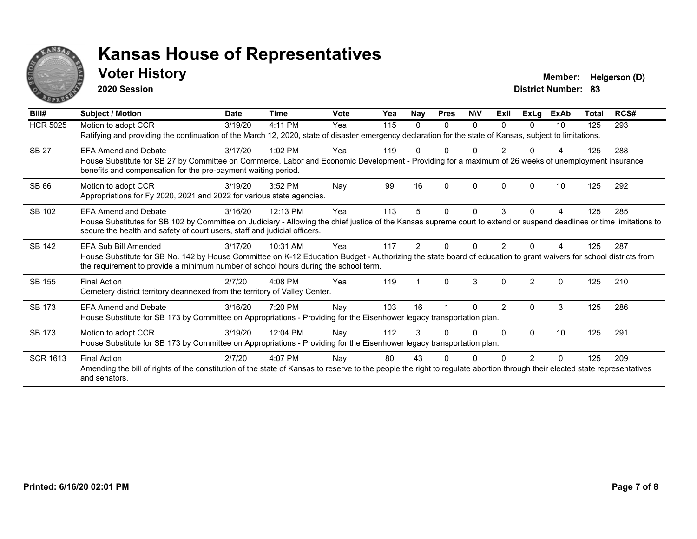

**2020 Session**

**Voter History Member:** Helgerson (D)

| Bill#           | Subject / Motion                                                                                                                                                                                                                                                                  | <b>Date</b> | Time      | <b>Vote</b> | Yea | Nay | <b>Pres</b>  | <b>NIV</b> | ExII           | <b>ExLg</b>    | <b>ExAb</b> | Total | RCS# |
|-----------------|-----------------------------------------------------------------------------------------------------------------------------------------------------------------------------------------------------------------------------------------------------------------------------------|-------------|-----------|-------------|-----|-----|--------------|------------|----------------|----------------|-------------|-------|------|
| <b>HCR 5025</b> | Motion to adopt CCR<br>Ratifying and providing the continuation of the March 12, 2020, state of disaster emergency declaration for the state of Kansas, subject to limitations.                                                                                                   | 3/19/20     | 4:11 PM   | Yea         | 115 | 0   | $\Omega$     | $\Omega$   | $\Omega$       | $\Omega$       | 10          | 125   | 293  |
| <b>SB 27</b>    | <b>EFA Amend and Debate</b><br>House Substitute for SB 27 by Committee on Commerce, Labor and Economic Development - Providing for a maximum of 26 weeks of unemployment insurance<br>benefits and compensation for the pre-payment waiting period.                               | 3/17/20     | $1:02$ PM | Yea         | 119 |     |              |            |                |                |             | 125   | 288  |
| <b>SB 66</b>    | Motion to adopt CCR<br>Appropriations for Fy 2020, 2021 and 2022 for various state agencies.                                                                                                                                                                                      | 3/19/20     | 3:52 PM   | Nay         | 99  | 16  | <sup>0</sup> | $\Omega$   | <sup>0</sup>   | O              | 10          | 125   | 292  |
| SB 102          | <b>EFA Amend and Debate</b><br>House Substitutes for SB 102 by Committee on Judiciary - Allowing the chief justice of the Kansas supreme court to extend or suspend deadlines or time limitations to<br>secure the health and safety of court users, staff and judicial officers. | 3/16/20     | 12:13 PM  | Yea         | 113 |     | 0            | 0          | 3              | 0              |             | 125   | 285  |
| <b>SB 142</b>   | EFA Sub Bill Amended<br>House Substitute for SB No. 142 by House Committee on K-12 Education Budget - Authorizing the state board of education to grant waivers for school districts from<br>the requirement to provide a minimum number of school hours during the school term.  | 3/17/20     | 10:31 AM  | Yea         | 117 |     |              |            |                |                |             | 125   | 287  |
| SB 155          | <b>Final Action</b><br>Cemetery district territory deannexed from the territory of Valley Center.                                                                                                                                                                                 | 2/7/20      | $4:08$ PM | Yea         | 119 |     | $\Omega$     | 3          | $\Omega$       | $\mathfrak{p}$ | $\Omega$    | 125   | 210  |
| <b>SB 173</b>   | <b>EFA Amend and Debate</b><br>House Substitute for SB 173 by Committee on Appropriations - Providing for the Eisenhower legacy transportation plan.                                                                                                                              | 3/16/20     | 7:20 PM   | Nay         | 103 | 16  |              | U          | $\overline{2}$ | 0              | 3           | 125   | 286  |
| <b>SB 173</b>   | Motion to adopt CCR<br>House Substitute for SB 173 by Committee on Appropriations - Providing for the Eisenhower legacy transportation plan.                                                                                                                                      | 3/19/20     | 12:04 PM  | Nay         | 112 | 3   | O            | U          | $\Omega$       | 0              | 10          | 125   | 291  |
| <b>SCR 1613</b> | <b>Final Action</b><br>Amending the bill of rights of the constitution of the state of Kansas to reserve to the people the right to regulate abortion through their elected state representatives<br>and senators.                                                                | 2/7/20      | 4:07 PM   | Nay         | 80  | 43  |              |            |                | 2              | $\Omega$    | 125   | 209  |